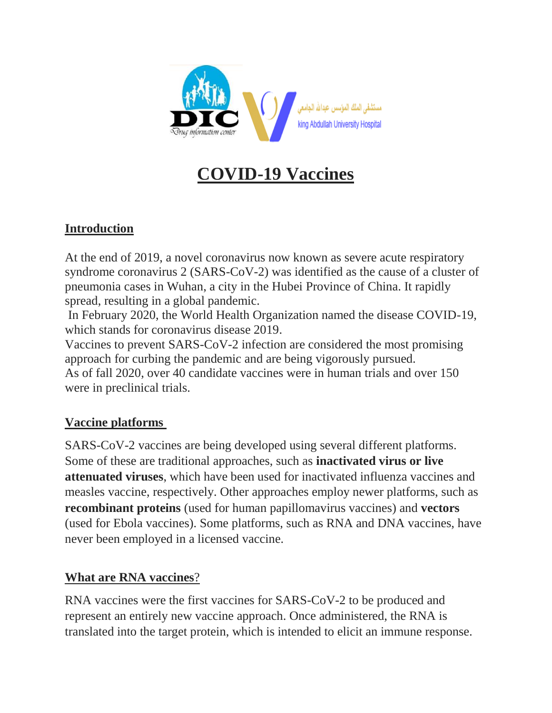

# **COVID-19 Vaccines**

# **Introduction**

At the end of 2019, a novel coronavirus now known as severe acute respiratory syndrome coronavirus 2 (SARS-CoV-2) was identified as the cause of a cluster of pneumonia cases in Wuhan, a city in the Hubei Province of China. It rapidly spread, resulting in a global pandemic.

In February 2020, the World Health Organization named the disease COVID-19, which stands for coronavirus disease 2019.

Vaccines to prevent SARS-CoV-2 infection are considered the most promising approach for curbing the pandemic and are being vigorously pursued. As of fall 2020, over 40 candidate vaccines were in human trials and over 150 were in preclinical trials.

# **Vaccine platforms**

SARS-CoV-2 vaccines are being developed using several different platforms. Some of these are traditional approaches, such as **inactivated virus or live attenuated viruses**, which have been used for inactivated influenza vaccines and measles vaccine, respectively. Other approaches employ newer platforms, such as **recombinant proteins** (used for human papillomavirus vaccines) and **vectors**  (used for Ebola vaccines). Some platforms, such as RNA and DNA vaccines, have never been employed in a licensed vaccine.

# **What are RNA vaccines**?

RNA vaccines were the first vaccines for SARS-CoV-2 to be produced and represent an entirely new vaccine approach. Once administered, the RNA is translated into the target protein, which is intended to elicit an immune response.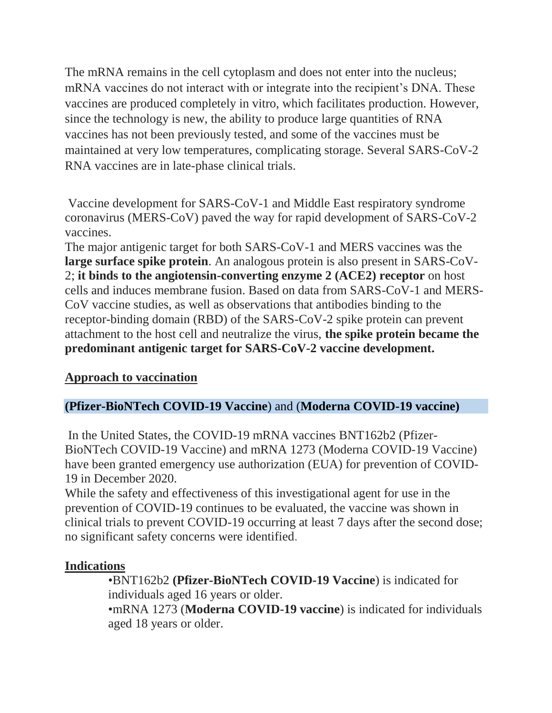The mRNA remains in the cell cytoplasm and does not enter into the nucleus; mRNA vaccines do not interact with or integrate into the recipient's DNA. These vaccines are produced completely in vitro, which facilitates production. However, since the technology is new, the ability to produce large quantities of RNA vaccines has not been previously tested, and some of the vaccines must be maintained at very low temperatures, complicating storage. Several SARS-CoV-2 RNA vaccines are in late-phase clinical trials.

Vaccine development for SARS-CoV-1 and Middle East respiratory syndrome coronavirus (MERS-CoV) paved the way for rapid development of SARS-CoV-2 vaccines.

The major antigenic target for both SARS-CoV-1 and MERS vaccines was the **large surface spike protein**. An analogous protein is also present in SARS-CoV-2; **it binds to the angiotensin-converting enzyme 2 (ACE2) receptor** on host cells and induces membrane fusion. Based on data from SARS-CoV-1 and MERS-CoV vaccine studies, as well as observations that antibodies binding to the receptor-binding domain (RBD) of the SARS-CoV-2 spike protein can prevent attachment to the host cell and neutralize the virus, **the spike protein became the predominant antigenic target for SARS-CoV-2 vaccine development.**

## **Approach to vaccination**

## **(Pfizer-BioNTech COVID-19 Vaccine**) and (**Moderna COVID-19 vaccine)**

In the United States, the COVID-19 mRNA vaccines BNT162b2 (Pfizer-BioNTech COVID-19 Vaccine) and mRNA 1273 (Moderna COVID-19 Vaccine) have been granted emergency use authorization (EUA) for prevention of COVID-19 in December 2020.

While the safety and effectiveness of this investigational agent for use in the prevention of COVID-19 continues to be evaluated, the vaccine was shown in clinical trials to prevent COVID-19 occurring at least 7 days after the second dose; no significant safety concerns were identified.

#### **Indications**

•BNT162b2 **(Pfizer-BioNTech COVID-19 Vaccine**) is indicated for individuals aged 16 years or older. •mRNA 1273 (**Moderna COVID-19 vaccine**) is indicated for individuals

aged 18 years or older.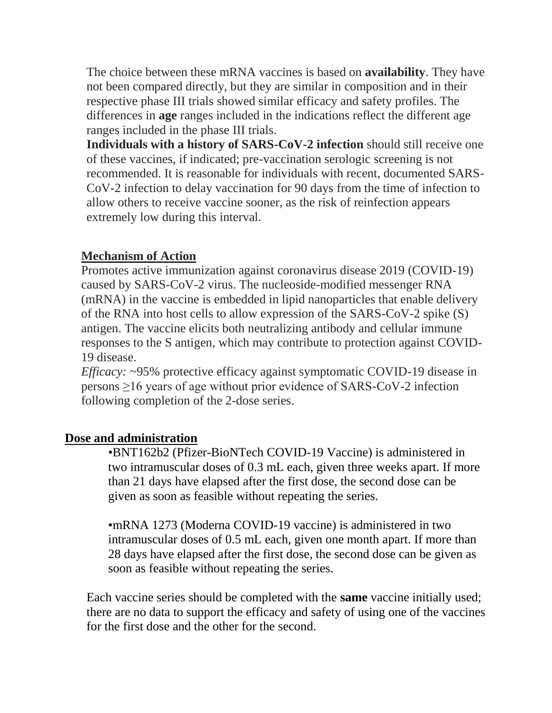The choice between these mRNA vaccines is based on **availability**. They have not been compared directly, but they are similar in composition and in their respective phase III trials showed similar efficacy and safety profiles. The differences in **age** ranges included in the indications reflect the different age ranges included in the phase III trials.

**Individuals with a history of SARS-CoV-2 infection** should still receive one of these vaccines, if indicated; pre-vaccination serologic screening is not recommended. It is reasonable for individuals with recent, documented SARS-CoV-2 infection to delay vaccination for 90 days from the time of infection to allow others to receive vaccine sooner, as the risk of reinfection appears extremely low during this interval.

#### **Mechanism of Action**

Promotes active immunization against coronavirus disease 2019 (COVID-19) caused by SARS-CoV-2 virus. The nucleoside-modified messenger RNA (mRNA) in the vaccine is embedded in lipid nanoparticles that enable delivery of the RNA into host cells to allow expression of the SARS-CoV-2 spike (S) antigen. The vaccine elicits both neutralizing antibody and cellular immune responses to the S antigen, which may contribute to protection against COVID-19 disease.

*Efficacy:* ~95% protective efficacy against symptomatic COVID-19 disease in persons ≥16 years of age without prior evidence of SARS-CoV-2 infection following completion of the 2-dose series.

## **Dose and administration**

•BNT162b2 (Pfizer-BioNTech COVID-19 Vaccine) is administered in two intramuscular doses of 0.3 mL each, given three weeks apart. If more than 21 days have elapsed after the first dose, the second dose can be given as soon as feasible without repeating the series.

•mRNA 1273 (Moderna COVID-19 vaccine) is administered in two intramuscular doses of 0.5 mL each, given one month apart. If more than 28 days have elapsed after the first dose, the second dose can be given as soon as feasible without repeating the series.

Each vaccine series should be completed with the **same** vaccine initially used; there are no data to support the efficacy and safety of using one of the vaccines for the first dose and the other for the second.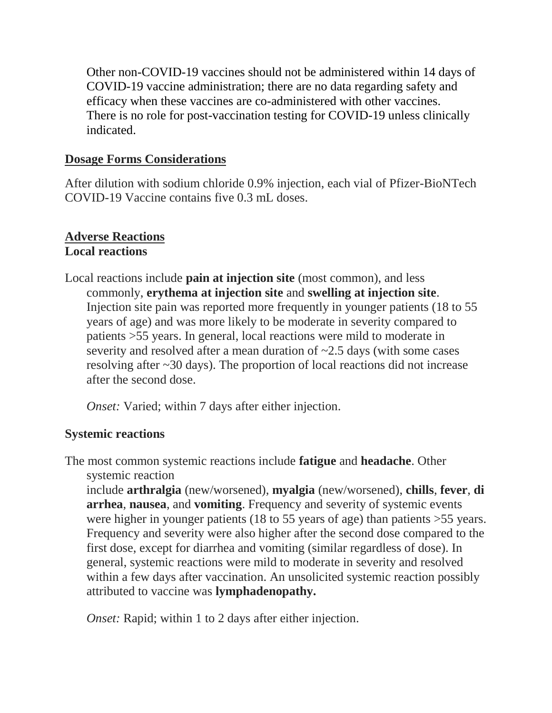Other non-COVID-19 vaccines should not be administered within 14 days of COVID-19 vaccine administration; there are no data regarding safety and efficacy when these vaccines are co-administered with other vaccines. There is no role for post-vaccination testing for COVID-19 unless clinically indicated.

#### **Dosage Forms Considerations**

After dilution with sodium chloride 0.9% injection, each vial of Pfizer-BioNTech COVID-19 Vaccine contains five 0.3 mL doses.

#### **Adverse Reactions Local reactions**

Local reactions include **pain at injection site** (most common), and less commonly, **erythema at injection site** and **swelling at injection site**. Injection site pain was reported more frequently in younger patients (18 to 55 years of age) and was more likely to be moderate in severity compared to patients >55 years. In general, local reactions were mild to moderate in severity and resolved after a mean duration of  $\sim$ 2.5 days (with some cases resolving after ~30 days). The proportion of local reactions did not increase after the second dose.

*Onset:* Varied; within 7 days after either injection.

#### **Systemic reactions**

The most common systemic reactions include **fatigue** and **headache**. Other systemic reaction

include **arthralgia** (new/worsened), **myalgia** (new/worsened), **chills**, **fever**, **di arrhea**, **nausea**, and **vomiting**. Frequency and severity of systemic events were higher in younger patients (18 to 55 years of age) than patients > 55 years. Frequency and severity were also higher after the second dose compared to the first dose, except for diarrhea and vomiting (similar regardless of dose). In general, systemic reactions were mild to moderate in severity and resolved within a few days after vaccination. An unsolicited systemic reaction possibly attributed to vaccine was **lymphadenopathy.**

*Onset:* Rapid; within 1 to 2 days after either injection.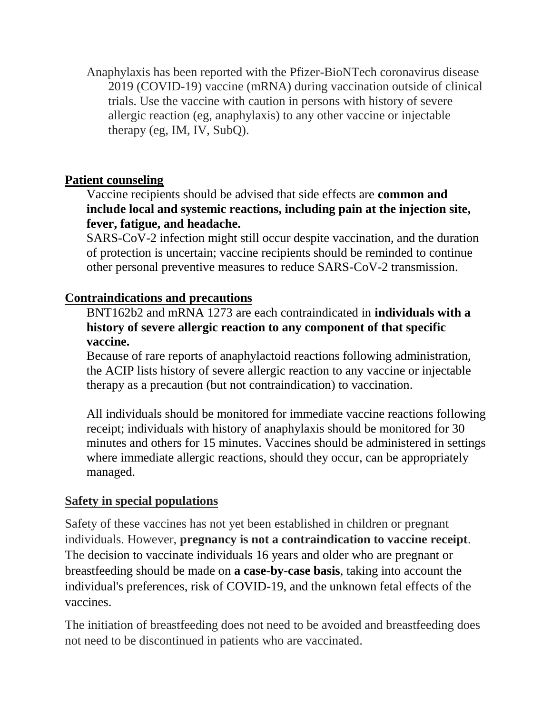Anaphylaxis has been reported with the Pfizer-BioNTech coronavirus disease 2019 (COVID-19) vaccine (mRNA) during vaccination outside of clinical trials. Use the vaccine with caution in persons with history of severe allergic reaction (eg, anaphylaxis) to any other vaccine or injectable therapy (eg, IM, IV, SubQ).

# **Patient counseling**

Vaccine recipients should be advised that side effects are **common and include local and systemic reactions, including pain at the injection site, fever, fatigue, and headache.**

SARS-CoV-2 infection might still occur despite vaccination, and the duration of protection is uncertain; vaccine recipients should be reminded to continue other personal preventive measures to reduce SARS-CoV-2 transmission.

## **Contraindications and precautions**

BNT162b2 and mRNA 1273 are each contraindicated in **individuals with a history of severe allergic reaction to any component of that specific vaccine.** 

Because of rare reports of anaphylactoid reactions following administration, the ACIP lists history of severe allergic reaction to any vaccine or injectable therapy as a precaution (but not contraindication) to vaccination.

All individuals should be monitored for immediate vaccine reactions following receipt; individuals with history of anaphylaxis should be monitored for 30 minutes and others for 15 minutes. Vaccines should be administered in settings where immediate allergic reactions, should they occur, can be appropriately managed.

## **Safety in special populations**

Safety of these vaccines has not yet been established in children or pregnant individuals. However, **pregnancy is not a contraindication to vaccine receipt**. The decision to vaccinate individuals 16 years and older who are pregnant or breastfeeding should be made on **a case-by-case basis**, taking into account the individual's preferences, risk of COVID-19, and the unknown fetal effects of the vaccines.

The initiation of breastfeeding does not need to be avoided and breastfeeding does not need to be discontinued in patients who are vaccinated.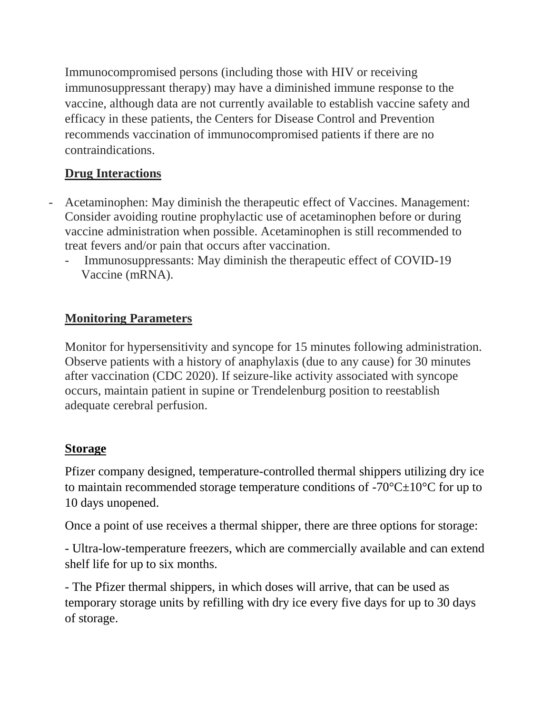Immunocompromised persons (including those with HIV or receiving immunosuppressant therapy) may have a diminished immune response to the vaccine, although data are not currently available to establish vaccine safety and efficacy in these patients, the Centers for Disease Control and Prevention recommends vaccination of immunocompromised patients if there are no contraindications.

# **Drug Interactions**

- Acetaminophen: May diminish the therapeutic effect of Vaccines. Management: Consider avoiding routine prophylactic use of acetaminophen before or during vaccine administration when possible. Acetaminophen is still recommended to treat fevers and/or pain that occurs after vaccination.
	- Immunosuppressants: May diminish the therapeutic effect of COVID-19 Vaccine (mRNA).

# **Monitoring Parameters**

Monitor for hypersensitivity and syncope for 15 minutes following administration. Observe patients with a history of anaphylaxis (due to any cause) for 30 minutes after vaccination (CDC 2020). If seizure-like activity associated with syncope occurs, maintain patient in supine or Trendelenburg position to reestablish adequate cerebral perfusion.

# **Storage**

Pfizer company designed, temperature-controlled thermal shippers utilizing dry ice to maintain recommended storage temperature conditions of  $-70^{\circ}C \pm 10^{\circ}C$  for up to 10 days unopened.

Once a point of use receives a thermal shipper, there are three options for storage:

- Ultra-low-temperature freezers, which are commercially available and can extend shelf life for up to six months.

- The Pfizer thermal shippers, in which doses will arrive, that can be used as temporary storage units by refilling with dry ice every five days for up to 30 days of storage.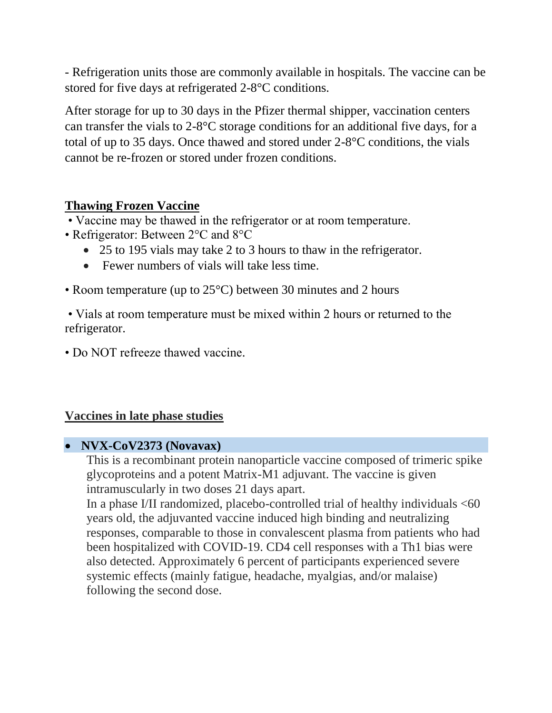- Refrigeration units those are commonly available in hospitals. The vaccine can be stored for five days at refrigerated 2-8°C conditions.

After storage for up to 30 days in the Pfizer thermal shipper, vaccination centers can transfer the vials to 2-8°C storage conditions for an additional five days, for a total of up to 35 days. Once thawed and stored under 2-8°C conditions, the vials cannot be re-frozen or stored under frozen conditions.

#### **Thawing Frozen Vaccine**

• Vaccine may be thawed in the refrigerator or at room temperature.

- Refrigerator: Between 2°C and 8°C
	- 25 to 195 vials may take 2 to 3 hours to thaw in the refrigerator.
	- Fewer numbers of vials will take less time.
- Room temperature (up to 25°C) between 30 minutes and 2 hours

• Vials at room temperature must be mixed within 2 hours or returned to the refrigerator.

• Do NOT refreeze thawed vaccine.

## **Vaccines in late phase studies**

## **NVX-CoV2373 (Novavax)**

This is a recombinant protein nanoparticle vaccine composed of trimeric spike glycoproteins and a potent Matrix-M1 adjuvant. The vaccine is given intramuscularly in two doses 21 days apart.

In a phase I/II randomized, placebo-controlled trial of healthy individuals  $<60$ years old, the adjuvanted vaccine induced high binding and neutralizing responses, comparable to those in convalescent plasma from patients who had been hospitalized with COVID-19. CD4 cell responses with a Th1 bias were also detected. Approximately 6 percent of participants experienced severe systemic effects (mainly fatigue, headache, myalgias, and/or malaise) following the second dose.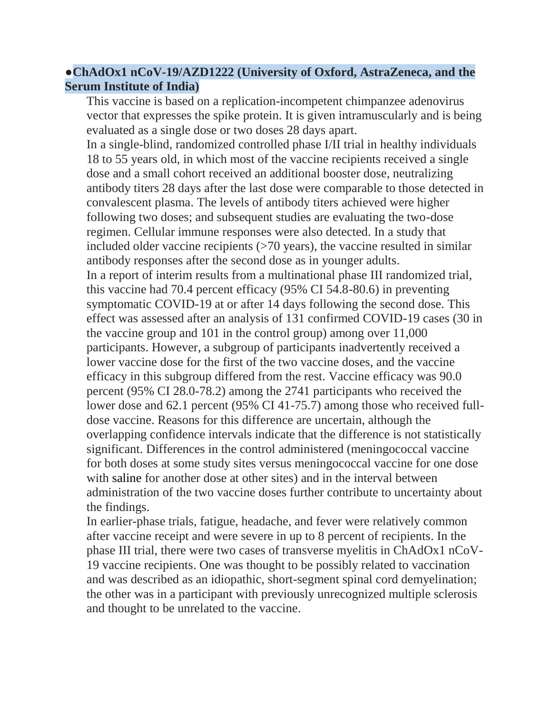## ●**ChAdOx1 nCoV-19/AZD1222 (University of Oxford, AstraZeneca, and the Serum Institute of India)**

This vaccine is based on a replication-incompetent chimpanzee adenovirus vector that expresses the spike protein. It is given intramuscularly and is being evaluated as a single dose or two doses 28 days apart.

In a single-blind, randomized controlled phase I/II trial in healthy individuals 18 to 55 years old, in which most of the vaccine recipients received a single dose and a small cohort received an additional booster dose, neutralizing antibody titers 28 days after the last dose were comparable to those detected in convalescent plasma. The levels of antibody titers achieved were higher following two doses; and subsequent studies are evaluating the two-dose regimen. Cellular immune responses were also detected. In a study that included older vaccine recipients (>70 years), the vaccine resulted in similar antibody responses after the second dose as in younger adults.

In a report of interim results from a multinational phase III randomized trial, this vaccine had 70.4 percent efficacy (95% CI 54.8-80.6) in preventing symptomatic COVID-19 at or after 14 days following the second dose. This effect was assessed after an analysis of 131 confirmed COVID-19 cases (30 in the vaccine group and 101 in the control group) among over 11,000 participants. However, a subgroup of participants inadvertently received a lower vaccine dose for the first of the two vaccine doses, and the vaccine efficacy in this subgroup differed from the rest. Vaccine efficacy was 90.0 percent (95% CI 28.0-78.2) among the 2741 participants who received the lower dose and 62.1 percent (95% CI 41-75.7) among those who received fulldose vaccine. Reasons for this difference are uncertain, although the overlapping confidence intervals indicate that the difference is not statistically significant. Differences in the control administered (meningococcal vaccine for both doses at some study sites versus meningococcal vaccine for one dose with [saline](https://www.uptodate.com/contents/sodium-chloride-preparations-saline-and-oral-salt-tablets-drug-information?search=covid+vaccine&topicRef=129849&source=see_link) for another dose at other sites) and in the interval between administration of the two vaccine doses further contribute to uncertainty about the findings.

In earlier-phase trials, fatigue, headache, and fever were relatively common after vaccine receipt and were severe in up to 8 percent of recipients. In the phase III trial, there were two cases of transverse myelitis in ChAdOx1 nCoV-19 vaccine recipients. One was thought to be possibly related to vaccination and was described as an idiopathic, short-segment spinal cord demyelination; the other was in a participant with previously unrecognized multiple sclerosis and thought to be unrelated to the vaccine.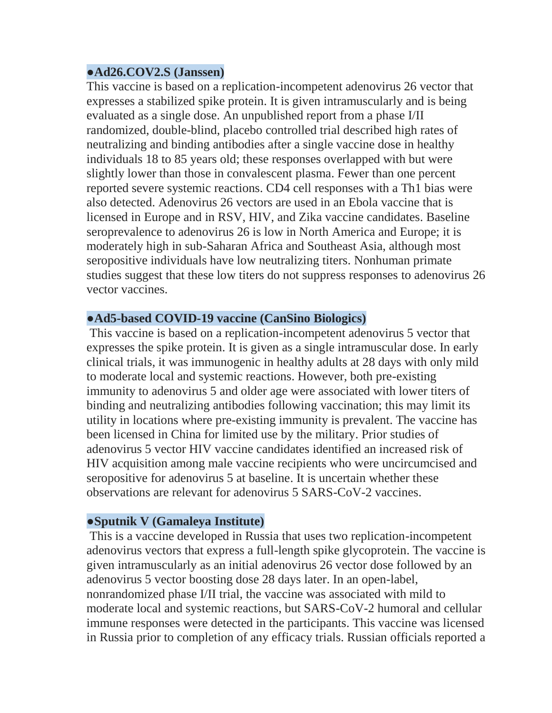#### ●**Ad26.COV2.S (Janssen)**

This vaccine is based on a replication-incompetent adenovirus 26 vector that expresses a stabilized spike protein. It is given intramuscularly and is being evaluated as a single dose. An unpublished report from a phase I/II randomized, double-blind, placebo controlled trial described high rates of neutralizing and binding antibodies after a single vaccine dose in healthy individuals 18 to 85 years old; these responses overlapped with but were slightly lower than those in convalescent plasma. Fewer than one percent reported severe systemic reactions. CD4 cell responses with a Th1 bias were also detected. Adenovirus 26 vectors are used in an Ebola vaccine that is licensed in Europe and in RSV, HIV, and Zika vaccine candidates. Baseline seroprevalence to adenovirus 26 is low in North America and Europe; it is moderately high in sub-Saharan Africa and Southeast Asia, although most seropositive individuals have low neutralizing titers. Nonhuman primate studies suggest that these low titers do not suppress responses to adenovirus 26 vector vaccines.

#### ●**Ad5-based COVID-19 vaccine (CanSino Biologics)**

This vaccine is based on a replication-incompetent adenovirus 5 vector that expresses the spike protein. It is given as a single intramuscular dose. In early clinical trials, it was immunogenic in healthy adults at 28 days with only mild to moderate local and systemic reactions. However, both pre-existing immunity to adenovirus 5 and older age were associated with lower titers of binding and neutralizing antibodies following vaccination; this may limit its utility in locations where pre-existing immunity is prevalent. The vaccine has been licensed in China for limited use by the military. Prior studies of adenovirus 5 vector HIV vaccine candidates identified an increased risk of HIV acquisition among male vaccine recipients who were uncircumcised and seropositive for adenovirus 5 at baseline. It is uncertain whether these observations are relevant for adenovirus 5 SARS-CoV-2 vaccines.

## ●**Sputnik V (Gamaleya Institute)**

This is a vaccine developed in Russia that uses two replication-incompetent adenovirus vectors that express a full-length spike glycoprotein. The vaccine is given intramuscularly as an initial adenovirus 26 vector dose followed by an adenovirus 5 vector boosting dose 28 days later. In an open-label, nonrandomized phase I/II trial, the vaccine was associated with mild to moderate local and systemic reactions, but SARS-CoV-2 humoral and cellular immune responses were detected in the participants. This vaccine was licensed in Russia prior to completion of any efficacy trials. Russian officials reported a